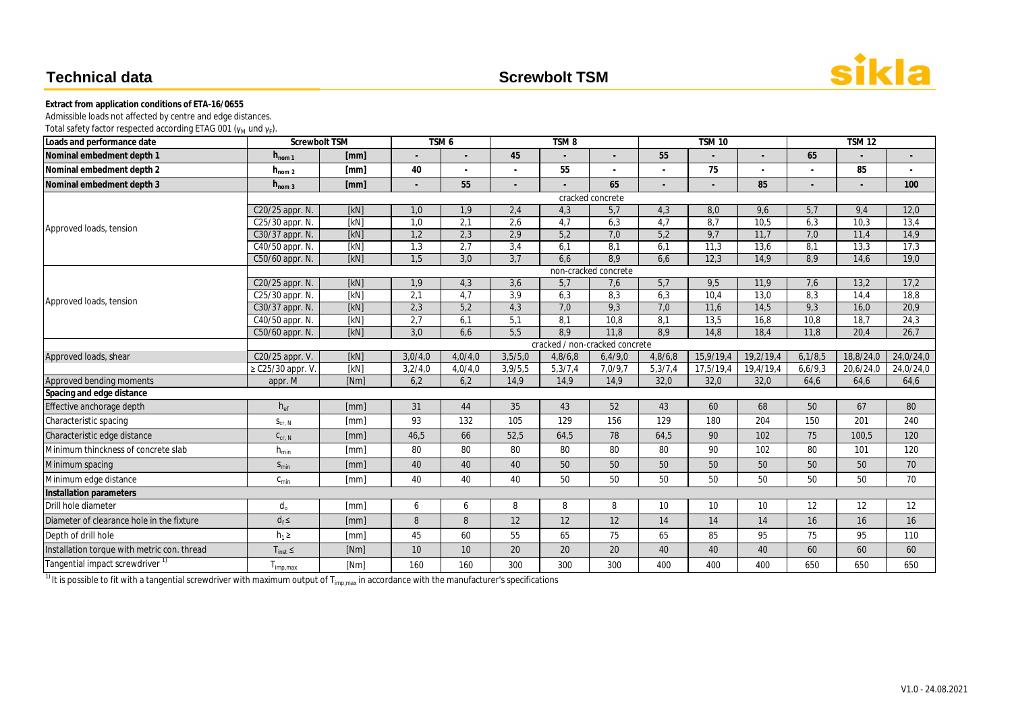| Loads and performance date                  | <b>Screwbolt TSM</b> |                  |         | TSM <sub>6</sub> |                  | TSM <sub>8</sub> |                                |         | <b>TSM 10</b> |           |                          | <b>TSM12</b> |           |
|---------------------------------------------|----------------------|------------------|---------|------------------|------------------|------------------|--------------------------------|---------|---------------|-----------|--------------------------|--------------|-----------|
| Nominal embedment depth 1                   | $h_{\text{nom 1}}$   | [mm]             |         |                  | 45               |                  |                                | 55      |               |           | 65                       |              |           |
| Nominal embedment depth 2                   | $h_{\text{nom }2}$   | [mm]             | 40      |                  |                  | 55               |                                |         | 75            |           |                          | 85           |           |
| Nominal embedment depth 3                   | $h_{\text{nom }3}$   | [mm]             |         | 55               |                  |                  | 65                             |         |               | 85        | $\overline{\phantom{a}}$ |              | 100       |
|                                             |                      | cracked concrete |         |                  |                  |                  |                                |         |               |           |                          |              |           |
|                                             | C20/25 appr. N.      | [kN]             | 1,0     | 1,9              | 2,4              | 4,3              | 5,7                            | 4,3     | 8,0           | 9,6       | 5,7                      | 9,4          | 12,0      |
| Approved loads, tension                     | C25/30 appr. N.      | [KN]             | 1,0     | 2,1              | 2,6              | 4,7              | 6,3                            | 4,7     | 8,7           | 10,5      | 6,3                      | 10,3         | 13,4      |
|                                             | C30/37 appr. N.      | [kN]             | 1,2     | 2,3              | 2,9              | 5,2              | 7,0                            | 5,2     | 9,7           | 11,7      | 7,0                      | 11,4         | 14,9      |
|                                             | C40/50 appr. N.      | [kN]             | 1,3     | $\overline{2,7}$ | 3,4              | 6,1              | 8,1                            | 6,1     | 11,3          | 13,6      | 8,1                      | 13,3         | 17,3      |
|                                             | C50/60 appr. N.      | [KN]             | 1,5     | 3,0              | 3,7              | 6,6              | 8,9                            | 6,6     | 12,3          | 14,9      | 8,9                      | 14,6         | 19,0      |
|                                             | non-cracked concrete |                  |         |                  |                  |                  |                                |         |               |           |                          |              |           |
|                                             | C20/25 appr. N.      | [kN]             | 1,9     | 4,3              | 3,6              | 5,7              | 7,6                            | 5,7     | 9,5           | 11,9      | 7,6                      | 13,2         | 17,2      |
| Approved loads, tension                     | C25/30 appr. N.      | [kN]             | 2,1     | $\overline{4,7}$ | 3,9              | 6,3              | 8,3                            | 6,3     | 10,4          | 13,0      | 8,3                      | 14,4         | 18,8      |
|                                             | C30/37 appr. N.      | [kN]             | 2,3     | 5,2              | 4,3              | 7,0              | 9,3                            | 7,0     | 11,6          | 14,5      | 9,3                      | 16,0         | 20,9      |
|                                             | C40/50 appr. N.      | [kN]             | 2,7     | 6,1              | 5,1              | 8,1              | 10,8                           | 8,1     | 13,5          | 16,8      | 10,8                     | 18,7         | 24,3      |
|                                             | C50/60 appr. N.      | [kN]             | 3,0     | 6,6              | $\overline{5,5}$ | 8,9              | $\overline{11,8}$              | 8,9     | 14,8          | 18,4      | 11,8                     | 20,4         | 26,7      |
|                                             |                      |                  |         |                  |                  |                  | cracked / non-cracked concrete |         |               |           |                          |              |           |
| Approved loads, shear                       | C20/25 appr. V.      | [kN]             | 3,0/4,0 | 4,0/4,0          | 3,5/5,0          | 4,8/6,8          | 6,4/9,0                        | 4,8/6,8 | 15,9/19,4     | 19,2/19,4 | 6,1/8,5                  | 18,8/24,0    | 24,0/24,0 |
|                                             | ≥ C25/30 appr. V.    | [kN]             | 3,2/4,0 | 4,0/4,0          | 3,9/5,5          | 5,3/7,4          | 7,0/9,7                        | 5,3/7,4 | 17,5/19,4     | 19,4/19,4 | 6,6/9,3                  | 20,6/24,0    | 24,0/24,0 |
| Approved bending moments                    | appr. M              | [Nm]             | 6,2     | 6,2              | 14,9             | 14,9             | 14,9                           | 32,0    | 32,0          | 32,0      | 64,6                     | 64,6         | 64,6      |
| Spacing and edge distance                   |                      |                  |         |                  |                  |                  |                                |         |               |           |                          |              |           |
| Effective anchorage depth                   | $h_{ef}$             | [mm]             | 31      | 44               | 35               | 43               | 52                             | 43      | 60            | 68        | 50                       | 67           | 80        |
| Characteristic spacing                      | $S_{cr, N}$          | [mm]             | 93      | 132              | 105              | 129              | 156                            | 129     | 180           | 204       | 150                      | 201          | 240       |
| Characteristic edge distance                | $C_{cr, N}$          | [mm]             | 46,5    | 66               | 52,5             | 64,5             | 78                             | 64,5    | 90            | 102       | 75                       | 100,5        | 120       |
| Minimum thinckness of concrete slab         | $h_{\text{min}}$     | [mm]             | 80      | 80               | 80               | 80               | 80                             | 80      | 90            | 102       | 80                       | 101          | 120       |
| Minimum spacing                             | $S_{min}$            | [mm]             | 40      | 40               | 40               | 50               | $50\,$                         | 50      | 50            | 50        | 50                       | 50           | 70        |
| Minimum edge distance                       | $C_{\text{min}}$     | [mm]             | 40      | 40               | 40               | 50               | 50                             | 50      | 50            | 50        | 50                       | 50           | 70        |
| Installation parameters                     |                      |                  |         |                  |                  |                  |                                |         |               |           |                          |              |           |
| Drill hole diameter                         | $d_{o}$              | [mm]             | 6       | 6                | 8                | 8                | 8                              | 10      | 10            | 10        | 12                       | 12           | 12        |
| Diameter of clearance hole in the fixture   | $d_f \leq$           | [mm]             | $\, 8$  | 8                | 12               | 12               | 12                             | 14      | 14            | 14        | 16                       | 16           | 16        |
| Depth of drill hole                         | $h_1 \geq$           | [mm]             | 45      | 60               | 55               | 65               | 75                             | 65      | 85            | 95        | 75                       | 95           | 110       |
| Installation torque with metric con. thread | $T_{inst}$           | [Nm]             | 10      | 10               | 20               | 20               | 20                             | 40      | 40            | 40        | 60                       | 60           | 60        |
| Tangential impact screwdriver <sup>1)</sup> | $T_{imp,max}$        | [Nm]             | 160     | 160              | 300              | 300              | 300                            | 400     | 400           | 400       | 650                      | 650          | 650       |

 $\frac{1}{10}$  It is possible to fit with a tangential screwdriver with maximum output of T<sub>imp,max</sub> in accordance with the manufacturer's specifications



### **Technical data Screwbolt TSM**

**Extract from application conditions of ETA-16/0655** Admissible loads not affected by centre and edge distances.

Total safety factor respected according ETAG 001 (γ $_{\mathsf{M}}$  und γ $_{\mathsf{F}}$ ).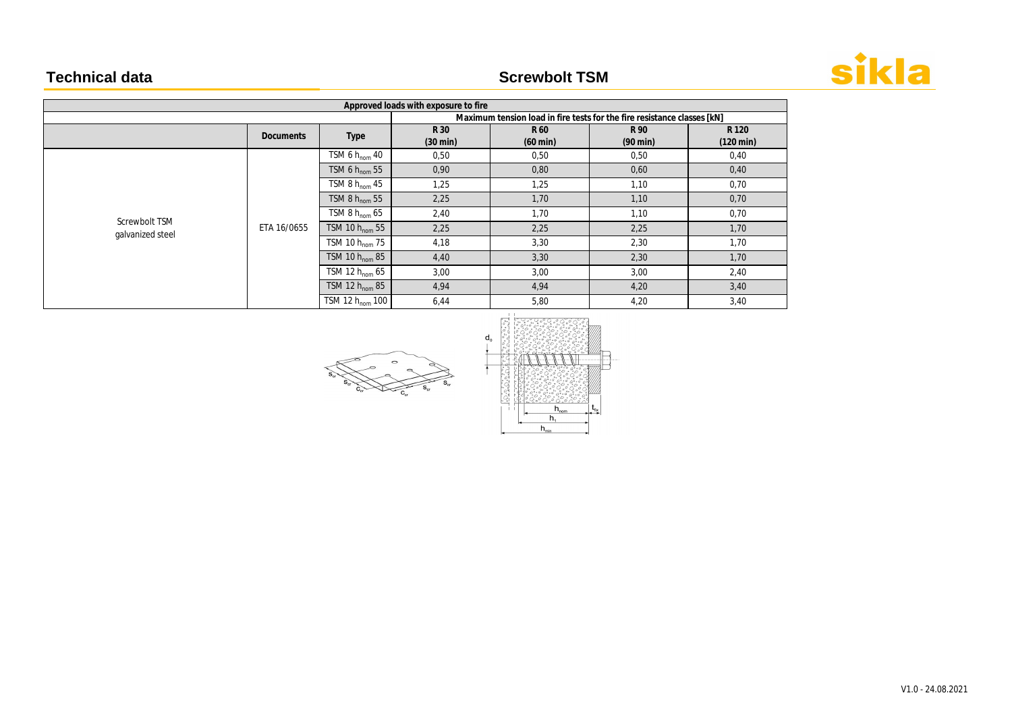# **Technical data Screwbolt TSM**

| Approved loads with exposure to fire |                  |                            |                                                                         |                            |                            |                              |  |  |
|--------------------------------------|------------------|----------------------------|-------------------------------------------------------------------------|----------------------------|----------------------------|------------------------------|--|--|
|                                      |                  |                            | Maximum tension load in fire tests for the fire resistance classes [kN] |                            |                            |                              |  |  |
|                                      | <b>Documents</b> | Type                       | R 30<br>$(30 \text{ min})$                                              | R 60<br>$(60 \text{ min})$ | R 90<br>$(90 \text{ min})$ | R 120<br>$(120 \text{ min})$ |  |  |
|                                      | ETA 16/0655      | TSM 6 $h_{\text{nom}}$ 40  | 0,50                                                                    | 0,50                       | 0,50                       | 0,40                         |  |  |
|                                      |                  | TSM 6 $h_{\text{nom}}$ 55  | 0,90                                                                    | 0,80                       | 0,60                       | 0,40                         |  |  |
|                                      |                  | TSM 8 $h_{\text{nom}}$ 45  | 1,25                                                                    | 1,25                       | 1,10                       | 0,70                         |  |  |
|                                      |                  | TSM 8 $h_{nom}$ 55         | 2,25                                                                    | 1,70                       | 1,10                       | 0,70                         |  |  |
|                                      |                  | TSM 8 $h_{nom}$ 65         | 2,40                                                                    | 1,70                       | 1,10                       | 0,70                         |  |  |
| Screwbolt TSM<br>galvanized steel    |                  | TSM 10 $h_{nom}$ 55        | 2,25                                                                    | 2,25                       | 2,25                       | 1,70                         |  |  |
|                                      |                  | TSM 10 $h_{\text{nom}}$ 75 | 4,18                                                                    | 3,30                       | 2,30                       | 1,70                         |  |  |
|                                      |                  | TSM 10 $h_{nom}$ 85        | 4,40                                                                    | 3,30                       | 2,30                       | 1,70                         |  |  |
|                                      |                  | TSM 12 $h_{\text{nom}}$ 65 | 3,00                                                                    | 3,00                       | 3,00                       | 2,40                         |  |  |
|                                      |                  | TSM 12 $h_{\text{nom}}$ 85 | 4,94                                                                    | 4,94                       | 4,20                       | 3,40                         |  |  |
|                                      |                  | TSM 12 $h_{nom}$ 100       | 6,44                                                                    | 5,80                       | 4,20                       | 3,40                         |  |  |









V1.0 - 24.08.2021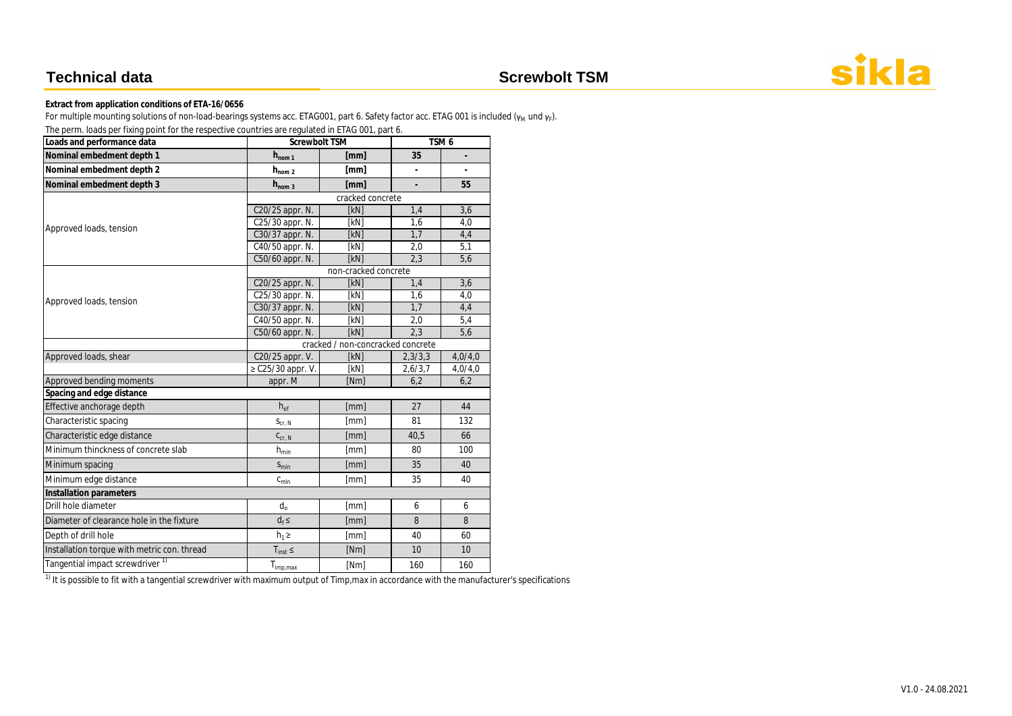For multiple mounting solutions of non-load-bearings systems acc. ETAG001, part 6. Safety factor acc. ETAG 001 is included (γ<sub>M</sub> und γ<sub>F</sub>). The perm. loads per fixing point for the respective countries are regulated in ETAG 001, part 6.

| The perm. Todds per fixing point for the respective countries are regulated in ETAG OUT, part 6.<br>Loads and performance data | Screwbolt TSM                     |                      | TSM <sub>6</sub> |                |  |  |  |  |
|--------------------------------------------------------------------------------------------------------------------------------|-----------------------------------|----------------------|------------------|----------------|--|--|--|--|
| Nominal embedment depth 1                                                                                                      | $h_{nom 1}$                       | [mm]                 | 35               | ÷              |  |  |  |  |
| Nominal embedment depth 2                                                                                                      | $h_{nom 2}$                       | [mm]                 | $\overline{a}$   | $\overline{a}$ |  |  |  |  |
| Nominal embedment depth 3                                                                                                      | $h_{\text{nom }3}$                | [mm]                 |                  | 55             |  |  |  |  |
|                                                                                                                                | cracked concrete                  |                      |                  |                |  |  |  |  |
|                                                                                                                                | C20/25 appr. N.                   | [kN]                 | 1,4              | 3,6            |  |  |  |  |
| Approved loads, tension                                                                                                        | C25/30 appr. N.                   | [kN]                 | 1,6              | 4,0            |  |  |  |  |
|                                                                                                                                | C30/37 appr. N.                   | [kN]                 | 1,7              | 4,4            |  |  |  |  |
|                                                                                                                                | C40/50 appr. N.                   | [kN]                 | 2,0              | 5,1            |  |  |  |  |
|                                                                                                                                | C50/60 appr. N.                   | [kN]                 | 2,3              | 5,6            |  |  |  |  |
|                                                                                                                                |                                   | non-cracked concrete |                  |                |  |  |  |  |
|                                                                                                                                | C20/25 appr. N.                   | [kN]                 | 1,4              | 3,6            |  |  |  |  |
| Approved loads, tension                                                                                                        | C25/30 appr. N.                   | [kN]                 | 1,6              | 4,0            |  |  |  |  |
|                                                                                                                                | C30/37 appr. N.                   | [kN]                 | 1,7              | 4,4            |  |  |  |  |
|                                                                                                                                | C40/50 appr. N.                   | [kN]                 | 2,0              | 5,4            |  |  |  |  |
|                                                                                                                                | C50/60 appr. N.                   | [kN]                 | $\overline{2,3}$ | 5,6            |  |  |  |  |
|                                                                                                                                | cracked / non-concracked concrete |                      |                  |                |  |  |  |  |
| Approved loads, shear                                                                                                          | C20/25 appr. V.                   | [kN]                 | 2,3/3,3          | 4,0/4,0        |  |  |  |  |
|                                                                                                                                | ≥ C25/30 appr. V.                 | [kN]                 | 2,6/3,7          | 4,0/4,0        |  |  |  |  |
| Approved bending moments                                                                                                       | appr. M                           | [Nm]                 | 6,2              | 6,2            |  |  |  |  |
| Spacing and edge distance                                                                                                      |                                   |                      |                  |                |  |  |  |  |
| Effective anchorage depth                                                                                                      | $h_{ef}$                          | [mm]                 | 27               | 44             |  |  |  |  |
| Characteristic spacing                                                                                                         | $S_{\text{Cr, N}}$                | [mm]                 | 81               | 132            |  |  |  |  |
| Characteristic edge distance                                                                                                   | $C_{cr, N}$                       | [mm]                 | 40,5             | 66             |  |  |  |  |
| Minimum thinckness of concrete slab                                                                                            | $h_{min}$                         | [mm]                 | 80               | 100            |  |  |  |  |
| Minimum spacing                                                                                                                | $S_{min}$                         | [mm]                 | 35               | 40             |  |  |  |  |
| Minimum edge distance                                                                                                          | $c_{\text{min}}$                  | [mm]                 | 35               | 40             |  |  |  |  |
| Installation parameters                                                                                                        |                                   |                      |                  |                |  |  |  |  |
| Drill hole diameter                                                                                                            | $d_0$                             | [mm]                 | 6                | 6              |  |  |  |  |
| Diameter of clearance hole in the fixture                                                                                      | $d_f \leq$                        | [mm]                 | 8                | 8              |  |  |  |  |
| Depth of drill hole                                                                                                            | $h_1 \geq$                        | [mm]                 | 40               | 60             |  |  |  |  |
| Installation torque with metric con. thread                                                                                    | $T_{inst} \leq$                   | [Nm]                 | 10               | 10             |  |  |  |  |
| Tangential impact screwdriver <sup>1)</sup>                                                                                    | $T_{imp,max}$                     | [Nm]                 | 160              | 160            |  |  |  |  |

 $\frac{1}{1}$  It is possible to fit with a tangential screwdriver with maximum output of Timp, max in accordance with the manufacturer's specifications



### **Technical data Screwbolt TSM**

**Extract from application conditions of ETA-16/0656**

V1.0 - 24.08.2021